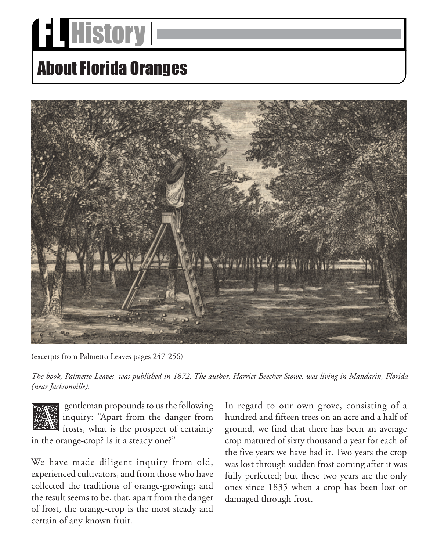## **Edd History 1**

## About Florida Oranges



(excerpts from Palmetto Leaves pages 247-256)

*The book, Palmetto Leaves, was published in 1872. The author, Harriet Beecher Stowe, was living in Mandarin, Florida (near Jacksonville).*



gentleman propounds to us the following inquiry: "Apart from the danger from frosts, what is the prospect of certainty in the orange-crop? Is it a steady one?"

We have made diligent inquiry from old, experienced cultivators, and from those who have collected the traditions of orange-growing; and the result seems to be, that, apart from the danger of frost, the orange-crop is the most steady and certain of any known fruit.

In regard to our own grove, consisting of a hundred and fifteen trees on an acre and a half of ground, we find that there has been an average crop matured of sixty thousand a year for each of the five years we have had it. Two years the crop was lost through sudden frost coming after it was fully perfected; but these two years are the only ones since 1835 when a crop has been lost or damaged through frost.